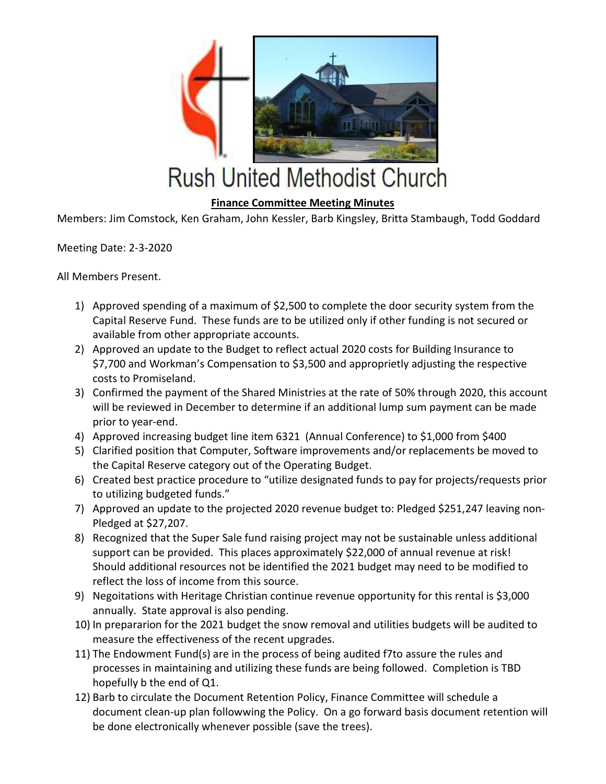

## **Rush United Methodist Church**

## Finance Committee Meeting Minutes

Members: Jim Comstock, Ken Graham, John Kessler, Barb Kingsley, Britta Stambaugh, Todd Goddard

Meeting Date: 2-3-2020

All Members Present.

- 1) Approved spending of a maximum of \$2,500 to complete the door security system from the Capital Reserve Fund. These funds are to be utilized only if other funding is not secured or available from other appropriate accounts.
- 2) Approved an update to the Budget to reflect actual 2020 costs for Building Insurance to \$7,700 and Workman's Compensation to \$3,500 and approprietly adjusting the respective costs to Promiseland.
- 3) Confirmed the payment of the Shared Ministries at the rate of 50% through 2020, this account will be reviewed in December to determine if an additional lump sum payment can be made prior to year-end.
- 4) Approved increasing budget line item 6321 (Annual Conference) to \$1,000 from \$400
- 5) Clarified position that Computer, Software improvements and/or replacements be moved to the Capital Reserve category out of the Operating Budget.
- 6) Created best practice procedure to "utilize designated funds to pay for projects/requests prior to utilizing budgeted funds."
- 7) Approved an update to the projected 2020 revenue budget to: Pledged \$251,247 leaving non-Pledged at \$27,207.
- 8) Recognized that the Super Sale fund raising project may not be sustainable unless additional support can be provided. This places approximately \$22,000 of annual revenue at risk! Should additional resources not be identified the 2021 budget may need to be modified to reflect the loss of income from this source.
- 9) Negoitations with Heritage Christian continue revenue opportunity for this rental is \$3,000 annually. State approval is also pending.
- 10) In prepararion for the 2021 budget the snow removal and utilities budgets will be audited to measure the effectiveness of the recent upgrades.
- 11) The Endowment Fund(s) are in the process of being audited f7to assure the rules and processes in maintaining and utilizing these funds are being followed. Completion is TBD hopefully b the end of Q1.
- 12) Barb to circulate the Document Retention Policy, Finance Committee will schedule a document clean-up plan followwing the Policy. On a go forward basis document retention will be done electronically whenever possible (save the trees).